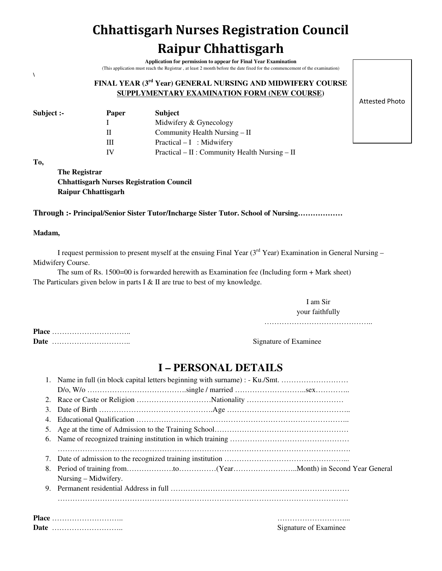# **Chhattisgarh Nurses Registration Council Raipur Chhattisgarh**

**Application for permission to appear for Final Year Examination**  (This application must reach the Registrar , at least 2 month before the date fixed for the commencement of the examination)

### **FINAL YEAR (3rd Year) GENERAL NURSING AND MIDWIFERY COURSE SUPPLYMENTARY EXAMINATION FORM (NEW COURSE)**

| Subject :- | <b>Subject</b><br><b>Paper</b> |                                                    |
|------------|--------------------------------|----------------------------------------------------|
|            |                                | Midwifery & Gynecology                             |
|            |                                | Community Health Nursing – II                      |
|            | Ш                              | $Practical - I$ : Midwifery                        |
|            |                                | $Practical - II: Community Health \; Nursing - II$ |

Attested Photo

#### **To,**

**\**

**The Registrar Chhattisgarh Nurses Registration Council Raipur Chhattisgarh** 

**Through :- Principal/Senior Sister Tutor/Incharge Sister Tutor. School of Nursing………………** 

#### **Madam,**

I request permission to present myself at the ensuing Final Year  $(3<sup>rd</sup> Year)$  Examination in General Nursing – Midwifery Course.

The sum of Rs. 1500=00 is forwarded herewith as Examination fee (Including form + Mark sheet) The Particulars given below in parts I  $&$  II are true to best of my knowledge.

> I am Sir your faithfully

……………………………………..

**Place** ………………………….. **Date** ………………………….. Signature of Examinee

## **I – PERSONAL DETAILS**

|    | 1. Name in full (in block capital letters beginning with surname) : - Ku./Smt. |  |  |  |
|----|--------------------------------------------------------------------------------|--|--|--|
|    |                                                                                |  |  |  |
| 2. |                                                                                |  |  |  |
| 3. |                                                                                |  |  |  |
| 4. |                                                                                |  |  |  |
| 5. |                                                                                |  |  |  |
| 6. |                                                                                |  |  |  |
|    |                                                                                |  |  |  |
|    |                                                                                |  |  |  |
| 8. |                                                                                |  |  |  |
|    | Nursing – Midwifery.                                                           |  |  |  |
| 9. |                                                                                |  |  |  |
|    |                                                                                |  |  |  |
|    |                                                                                |  |  |  |
|    | Signature of Examinee                                                          |  |  |  |